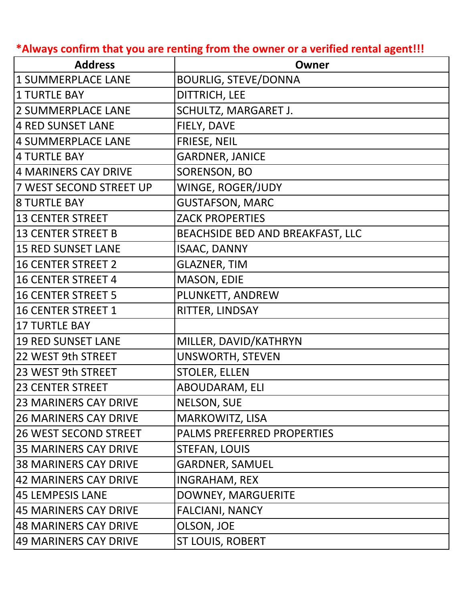**\*Always confirm that you are renting from the owner or a verified rental agent!!!**

| <b>Address</b>               | Owner                             |
|------------------------------|-----------------------------------|
| 1 SUMMERPLACE LANE           | <b>BOURLIG, STEVE/DONNA</b>       |
| <b>1 TURTLE BAY</b>          | <b>DITTRICH, LEE</b>              |
| <b>2 SUMMERPLACE LANE</b>    | SCHULTZ, MARGARET J.              |
| <b>4 RED SUNSET LANE</b>     | FIELY, DAVE                       |
| 4 SUMMERPLACE LANE           | FRIESE, NEIL                      |
| <b>4 TURTLE BAY</b>          | <b>GARDNER, JANICE</b>            |
| 4 MARINERS CAY DRIVE         | SORENSON, BO                      |
| 7 WEST SECOND STREET UP      | WINGE, ROGER/JUDY                 |
| <b>8 TURTLE BAY</b>          | <b>GUSTAFSON, MARC</b>            |
| <b>13 CENTER STREET</b>      | <b>ZACK PROPERTIES</b>            |
| <b>13 CENTER STREET B</b>    | BEACHSIDE BED AND BREAKFAST, LLC  |
| <b>15 RED SUNSET LANE</b>    | <b>ISAAC, DANNY</b>               |
| <b>16 CENTER STREET 2</b>    | <b>GLAZNER, TIM</b>               |
| <b>16 CENTER STREET 4</b>    | MASON, EDIE                       |
| <b>16 CENTER STREET 5</b>    | PLUNKETT, ANDREW                  |
| 16 CENTER STREET 1           | RITTER, LINDSAY                   |
| <b>17 TURTLE BAY</b>         |                                   |
| <b>19 RED SUNSET LANE</b>    | MILLER, DAVID/KATHRYN             |
| 22 WEST 9th STREET           | <b>UNSWORTH, STEVEN</b>           |
| 23 WEST 9th STREET           | <b>STOLER, ELLEN</b>              |
| <b>23 CENTER STREET</b>      | ABOUDARAM, ELI                    |
| <b>23 MARINERS CAY DRIVE</b> | <b>NELSON, SUE</b>                |
| <b>26 MARINERS CAY DRIVE</b> | <b>MARKOWITZ, LISA</b>            |
| <b>26 WEST SECOND STREET</b> | <b>PALMS PREFERRED PROPERTIES</b> |
| <b>35 MARINERS CAY DRIVE</b> | <b>STEFAN, LOUIS</b>              |
| <b>38 MARINERS CAY DRIVE</b> | <b>GARDNER, SAMUEL</b>            |
| 42 MARINERS CAY DRIVE        | INGRAHAM, REX                     |
| 45 LEMPESIS LANE             | DOWNEY, MARGUERITE                |
| 45 MARINERS CAY DRIVE        | <b>FALCIANI, NANCY</b>            |
| <b>48 MARINERS CAY DRIVE</b> | OLSON, JOE                        |
| 49 MARINERS CAY DRIVE        | <b>ST LOUIS, ROBERT</b>           |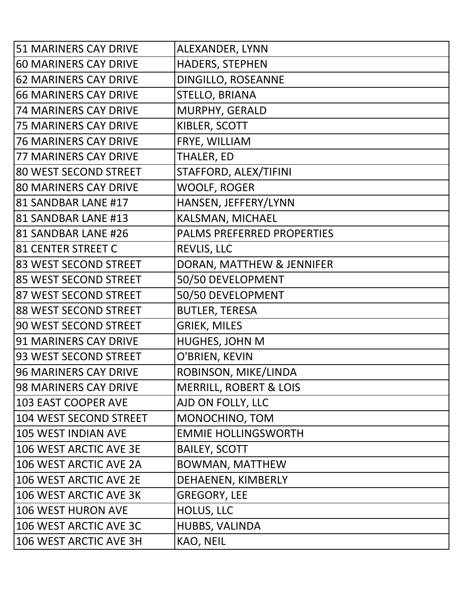| <b>51 MARINERS CAY DRIVE</b> | ALEXANDER, LYNN                   |
|------------------------------|-----------------------------------|
| <b>60 MARINERS CAY DRIVE</b> | HADERS, STEPHEN                   |
| <b>62 MARINERS CAY DRIVE</b> | DINGILLO, ROSEANNE                |
| <b>66 MARINERS CAY DRIVE</b> | <b>STELLO, BRIANA</b>             |
| <b>74 MARINERS CAY DRIVE</b> | MURPHY, GERALD                    |
| <b>75 MARINERS CAY DRIVE</b> | KIBLER, SCOTT                     |
| <b>76 MARINERS CAY DRIVE</b> | FRYE, WILLIAM                     |
| <b>77 MARINERS CAY DRIVE</b> | THALER, ED                        |
| 80 WEST SECOND STREET        | STAFFORD, ALEX/TIFINI             |
| <b>80 MARINERS CAY DRIVE</b> | <b>WOOLF, ROGER</b>               |
| 81 SANDBAR LANE #17          | HANSEN, JEFFERY/LYNN              |
| 81 SANDBAR LANE #13          | KALSMAN, MICHAEL                  |
| 81 SANDBAR LANE #26          | PALMS PREFERRED PROPERTIES        |
| 81 CENTER STREET C           | REVLIS, LLC                       |
| 83 WEST SECOND STREET        | DORAN, MATTHEW & JENNIFER         |
| 85 WEST SECOND STREET        | 50/50 DEVELOPMENT                 |
| 87 WEST SECOND STREET        | 50/50 DEVELOPMENT                 |
| 88 WEST SECOND STREET        | <b>BUTLER, TERESA</b>             |
| 90 WEST SECOND STREET        | <b>GRIEK, MILES</b>               |
| <b>91 MARINERS CAY DRIVE</b> | HUGHES, JOHN M                    |
| 93 WEST SECOND STREET        | O'BRIEN, KEVIN                    |
| <b>96 MARINERS CAY DRIVE</b> | ROBINSON, MIKE/LINDA              |
| <b>98 MARINERS CAY DRIVE</b> | <b>MERRILL, ROBERT &amp; LOIS</b> |
| 103 EAST COOPER AVE          | AJD ON FOLLY, LLC                 |
| 104 WEST SECOND STREET       | MONOCHINO, TOM                    |
| 105 WEST INDIAN AVE          | <b>EMMIE HOLLINGSWORTH</b>        |
| 106 WEST ARCTIC AVE 3E       | <b>BAILEY, SCOTT</b>              |
| 106 WEST ARCTIC AVE 2A       | <b>BOWMAN, MATTHEW</b>            |
| 106 WEST ARCTIC AVE 2E       | DEHAENEN, KIMBERLY                |
| 106 WEST ARCTIC AVE 3K       | <b>GREGORY, LEE</b>               |
| 106 WEST HURON AVE           | HOLUS, LLC                        |
| 106 WEST ARCTIC AVE 3C       | HUBBS, VALINDA                    |
| 106 WEST ARCTIC AVE 3H       | KAO, NEIL                         |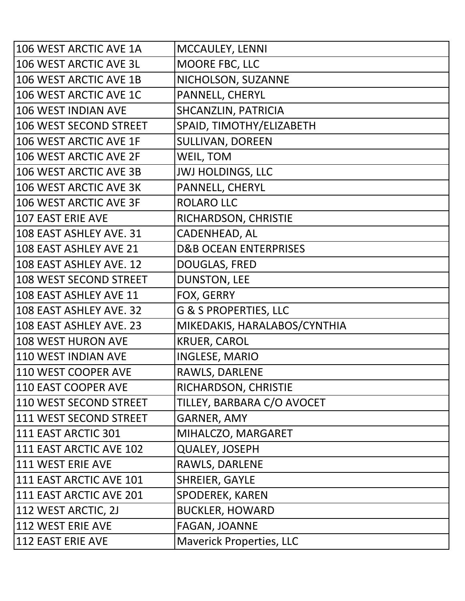| 106 WEST ARCTIC AVE 1A        | MCCAULEY, LENNI                  |
|-------------------------------|----------------------------------|
| 106 WEST ARCTIC AVE 3L        | MOORE FBC, LLC                   |
| 106 WEST ARCTIC AVE 1B        | NICHOLSON, SUZANNE               |
| 106 WEST ARCTIC AVE 1C        | PANNELL, CHERYL                  |
| 106 WEST INDIAN AVE           | SHCANZLIN, PATRICIA              |
| <b>106 WEST SECOND STREET</b> | SPAID, TIMOTHY/ELIZABETH         |
| 106 WEST ARCTIC AVE 1F        | <b>SULLIVAN, DOREEN</b>          |
| 106 WEST ARCTIC AVE 2F        | WEIL, TOM                        |
| 106 WEST ARCTIC AVE 3B        | <b>JWJ HOLDINGS, LLC</b>         |
| 106 WEST ARCTIC AVE 3K        | PANNELL, CHERYL                  |
| 106 WEST ARCTIC AVE 3F        | <b>ROLARO LLC</b>                |
| <b>107 EAST ERIE AVE</b>      | RICHARDSON, CHRISTIE             |
| 108 EAST ASHLEY AVE. 31       | CADENHEAD, AL                    |
| 108 EAST ASHLEY AVE 21        | <b>D&amp;B OCEAN ENTERPRISES</b> |
| 108 EAST ASHLEY AVE. 12       | <b>DOUGLAS, FRED</b>             |
| 108 WEST SECOND STREET        | <b>DUNSTON, LEE</b>              |
| 108 EAST ASHLEY AVE 11        | FOX, GERRY                       |
| 108 EAST ASHLEY AVE. 32       | <b>G &amp; S PROPERTIES, LLC</b> |
| 108 EAST ASHLEY AVE. 23       | MIKEDAKIS, HARALABOS/CYNTHIA     |
| <b>108 WEST HURON AVE</b>     | <b>KRUER, CAROL</b>              |
| 110 WEST INDIAN AVE           | <b>INGLESE, MARIO</b>            |
| 110 WEST COOPER AVE           | RAWLS, DARLENE                   |
| 110 EAST COOPER AVE           | RICHARDSON, CHRISTIE             |
| 110 WEST SECOND STREET        | TILLEY, BARBARA C/O AVOCET       |
| 111 WEST SECOND STREET        | <b>GARNER, AMY</b>               |
| 111 EAST ARCTIC 301           | MIHALCZO, MARGARET               |
| 111 EAST ARCTIC AVE 102       | <b>QUALEY, JOSEPH</b>            |
| 111 WEST ERIE AVE             | RAWLS, DARLENE                   |
| 111 EAST ARCTIC AVE 101       | <b>SHREIER, GAYLE</b>            |
| 111 EAST ARCTIC AVE 201       | SPODEREK, KAREN                  |
| 112 WEST ARCTIC, 2J           | <b>BUCKLER, HOWARD</b>           |
| 112 WEST ERIE AVE             | FAGAN, JOANNE                    |
| 112 EAST ERIE AVE             | <b>Maverick Properties, LLC</b>  |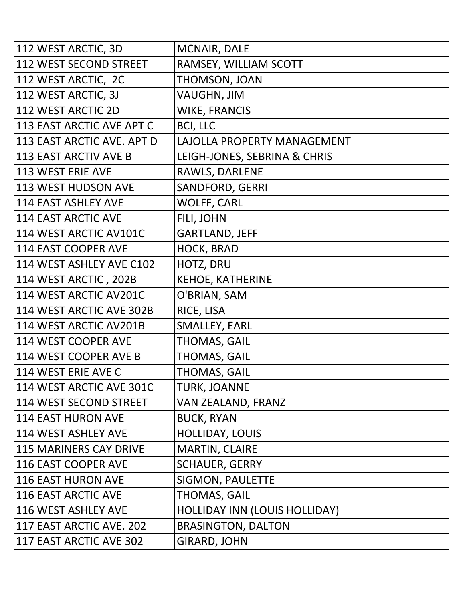| 112 WEST ARCTIC, 3D           | MCNAIR, DALE                         |
|-------------------------------|--------------------------------------|
| 112 WEST SECOND STREET        | RAMSEY, WILLIAM SCOTT                |
| 112 WEST ARCTIC, 2C           | THOMSON, JOAN                        |
| 112 WEST ARCTIC, 3J           | <b>VAUGHN, JIM</b>                   |
| 112 WEST ARCTIC 2D            | <b>WIKE, FRANCIS</b>                 |
| 113 EAST ARCTIC AVE APT C     | <b>BCI, LLC</b>                      |
| 113 EAST ARCTIC AVE. APT D    | LAJOLLA PROPERTY MANAGEMENT          |
| 113 EAST ARCTIV AVE B         | LEIGH-JONES, SEBRINA & CHRIS         |
| 113 WEST ERIE AVE             | RAWLS, DARLENE                       |
| 113 WEST HUDSON AVE           | SANDFORD, GERRI                      |
| 114 EAST ASHLEY AVE           | WOLFF, CARL                          |
| 114 EAST ARCTIC AVE           | FILI, JOHN                           |
| 114 WEST ARCTIC AV101C        | <b>GARTLAND, JEFF</b>                |
| 114 EAST COOPER AVE           | HOCK, BRAD                           |
| 114 WEST ASHLEY AVE C102      | HOTZ, DRU                            |
| 114 WEST ARCTIC, 202B         | <b>KEHOE, KATHERINE</b>              |
| 114 WEST ARCTIC AV201C        | O'BRIAN, SAM                         |
| 114 WEST ARCTIC AVE 302B      | RICE, LISA                           |
| 114 WEST ARCTIC AV201B        | SMALLEY, EARL                        |
| 114 WEST COOPER AVE           | THOMAS, GAIL                         |
| 114 WEST COOPER AVE B         | THOMAS, GAIL                         |
| 114 WEST ERIE AVE C           | <b>THOMAS, GAIL</b>                  |
| 114 WEST ARCTIC AVE 301C      | <b>TURK, JOANNE</b>                  |
| 114 WEST SECOND STREET        | VAN ZEALAND, FRANZ                   |
| 114 EAST HURON AVE            | <b>BUCK, RYAN</b>                    |
| 114 WEST ASHLEY AVE           | HOLLIDAY, LOUIS                      |
| <b>115 MARINERS CAY DRIVE</b> | MARTIN, CLAIRE                       |
| 116 EAST COOPER AVE           | <b>SCHAUER, GERRY</b>                |
| 116 EAST HURON AVE            | <b>SIGMON, PAULETTE</b>              |
| 116 EAST ARCTIC AVE           | THOMAS, GAIL                         |
| 116 WEST ASHLEY AVE           | <b>HOLLIDAY INN (LOUIS HOLLIDAY)</b> |
| 117 EAST ARCTIC AVE. 202      | <b>BRASINGTON, DALTON</b>            |
| 117 EAST ARCTIC AVE 302       | <b>GIRARD, JOHN</b>                  |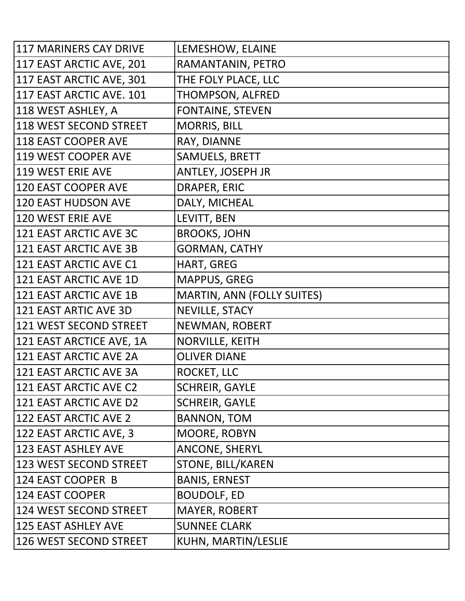| 117 MARINERS CAY DRIVE     | LEMESHOW, ELAINE                  |
|----------------------------|-----------------------------------|
| 117 EAST ARCTIC AVE, 201   | RAMANTANIN, PETRO                 |
| 117 EAST ARCTIC AVE, 301   | THE FOLY PLACE, LLC               |
| 117 EAST ARCTIC AVE. 101   | THOMPSON, ALFRED                  |
| 118 WEST ASHLEY, A         | <b>FONTAINE, STEVEN</b>           |
| 118 WEST SECOND STREET     | <b>MORRIS, BILL</b>               |
| 118 EAST COOPER AVE        | RAY, DIANNE                       |
| 119 WEST COOPER AVE        | SAMUELS, BRETT                    |
| <b>119 WEST ERIE AVE</b>   | <b>ANTLEY, JOSEPH JR</b>          |
| <b>120 EAST COOPER AVE</b> | DRAPER, ERIC                      |
| 120 EAST HUDSON AVE        | DALY, MICHEAL                     |
| 120 WEST ERIE AVE          | LEVITT, BEN                       |
| 121 EAST ARCTIC AVE 3C     | <b>BROOKS, JOHN</b>               |
| 121 EAST ARCTIC AVE 3B     | <b>GORMAN, CATHY</b>              |
| 121 EAST ARCTIC AVE C1     | HART, GREG                        |
| 121 EAST ARCTIC AVE 1D     | <b>MAPPUS, GREG</b>               |
| 121 EAST ARCTIC AVE 1B     | <b>MARTIN, ANN (FOLLY SUITES)</b> |
| 121 EAST ARTIC AVE 3D      | <b>NEVILLE, STACY</b>             |
| 121 WEST SECOND STREET     | NEWMAN, ROBERT                    |
| 121 EAST ARCTICE AVE, 1A   | <b>NORVILLE, KEITH</b>            |
| 121 EAST ARCTIC AVE 2A     | <b>OLIVER DIANE</b>               |
| 121 EAST ARCTIC AVE 3A     | ROCKET, LLC                       |
| 121 EAST ARCTIC AVE C2     | <b>SCHREIR, GAYLE</b>             |
| 121 EAST ARCTIC AVE D2     | <b>SCHREIR, GAYLE</b>             |
| 122 EAST ARCTIC AVE 2      | <b>BANNON, TOM</b>                |
| 122 EAST ARCTIC AVE, 3     | MOORE, ROBYN                      |
| 123 EAST ASHLEY AVE        | <b>ANCONE, SHERYL</b>             |
| 123 WEST SECOND STREET     | STONE, BILL/KAREN                 |
| 124 EAST COOPER B          | <b>BANIS, ERNEST</b>              |
| 124 EAST COOPER            | <b>BOUDOLF, ED</b>                |
| 124 WEST SECOND STREET     | <b>MAYER, ROBERT</b>              |
| <b>125 EAST ASHLEY AVE</b> | <b>SUNNEE CLARK</b>               |
| 126 WEST SECOND STREET     | KUHN, MARTIN/LESLIE               |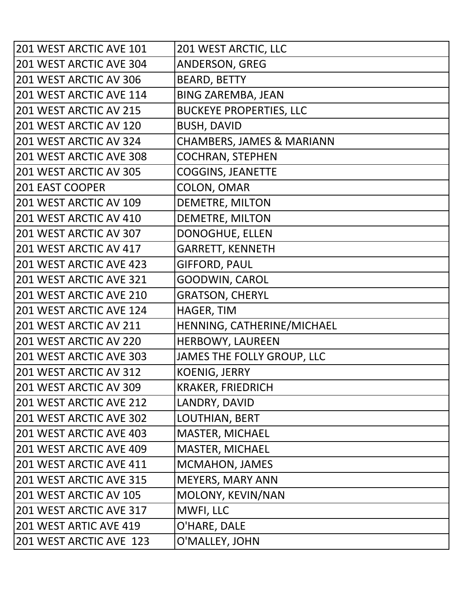| 201 WEST ARCTIC AVE 101 | 201 WEST ARCTIC, LLC                 |
|-------------------------|--------------------------------------|
| 201 WEST ARCTIC AVE 304 | <b>ANDERSON, GREG</b>                |
| 201 WEST ARCTIC AV 306  | <b>BEARD, BETTY</b>                  |
| 201 WEST ARCTIC AVE 114 | <b>BING ZAREMBA, JEAN</b>            |
| 201 WEST ARCTIC AV 215  | <b>BUCKEYE PROPERTIES, LLC</b>       |
| 201 WEST ARCTIC AV 120  | <b>BUSH, DAVID</b>                   |
| 201 WEST ARCTIC AV 324  | <b>CHAMBERS, JAMES &amp; MARIANN</b> |
| 201 WEST ARCTIC AVE 308 | <b>COCHRAN, STEPHEN</b>              |
| 201 WEST ARCTIC AV 305  | <b>COGGINS, JEANETTE</b>             |
| <b>201 EAST COOPER</b>  | COLON, OMAR                          |
| 201 WEST ARCTIC AV 109  | <b>DEMETRE, MILTON</b>               |
| 201 WEST ARCTIC AV 410  | <b>DEMETRE, MILTON</b>               |
| 201 WEST ARCTIC AV 307  | DONOGHUE, ELLEN                      |
| 201 WEST ARCTIC AV 417  | <b>GARRETT, KENNETH</b>              |
| 201 WEST ARCTIC AVE 423 | <b>GIFFORD, PAUL</b>                 |
| 201 WEST ARCTIC AVE 321 | <b>GOODWIN, CAROL</b>                |
| 201 WEST ARCTIC AVE 210 | <b>GRATSON, CHERYL</b>               |
| 201 WEST ARCTIC AVE 124 | HAGER, TIM                           |
| 201 WEST ARCTIC AV 211  | HENNING, CATHERINE/MICHAEL           |
| 201 WEST ARCTIC AV 220  | HERBOWY, LAUREEN                     |
| 201 WEST ARCTIC AVE 303 | JAMES THE FOLLY GROUP, LLC           |
| 201 WEST ARCTIC AV 312  | <b>KOENIG, JERRY</b>                 |
| 201 WEST ARCTIC AV 309  | <b>KRAKER, FRIEDRICH</b>             |
| 201 WEST ARCTIC AVE 212 | LANDRY, DAVID                        |
| 201 WEST ARCTIC AVE 302 | LOUTHIAN, BERT                       |
| 201 WEST ARCTIC AVE 403 | <b>MASTER, MICHAEL</b>               |
| 201 WEST ARCTIC AVE 409 | <b>MASTER, MICHAEL</b>               |
| 201 WEST ARCTIC AVE 411 | <b>MCMAHON, JAMES</b>                |
| 201 WEST ARCTIC AVE 315 | <b>MEYERS, MARY ANN</b>              |
| 201 WEST ARCTIC AV 105  | MOLONY, KEVIN/NAN                    |
| 201 WEST ARCTIC AVE 317 | MWFI, LLC                            |
| 201 WEST ARTIC AVE 419  | O'HARE, DALE                         |
| 201 WEST ARCTIC AVE 123 | O'MALLEY, JOHN                       |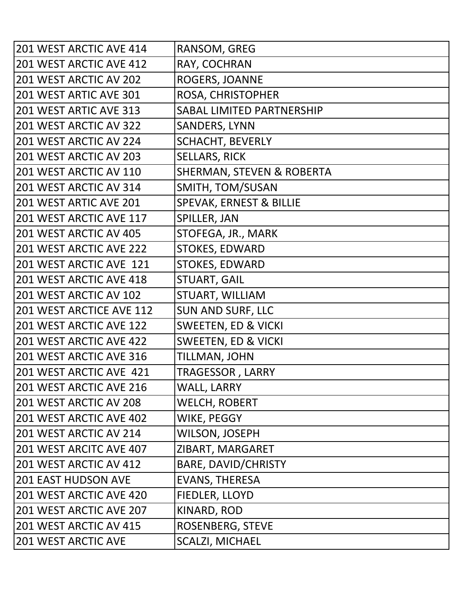| 201 WEST ARCTIC AVE 414    | RANSOM, GREG                       |
|----------------------------|------------------------------------|
| 201 WEST ARCTIC AVE 412    | RAY, COCHRAN                       |
| 201 WEST ARCTIC AV 202     | ROGERS, JOANNE                     |
| 201 WEST ARTIC AVE 301     | ROSA, CHRISTOPHER                  |
| 201 WEST ARTIC AVE 313     | <b>SABAL LIMITED PARTNERSHIP</b>   |
| 201 WEST ARCTIC AV 322     | <b>SANDERS, LYNN</b>               |
| 201 WEST ARCTIC AV 224     | <b>SCHACHT, BEVERLY</b>            |
| 201 WEST ARCTIC AV 203     | <b>SELLARS, RICK</b>               |
| 201 WEST ARCTIC AV 110     | SHERMAN, STEVEN & ROBERTA          |
| 201 WEST ARCTIC AV 314     | SMITH, TOM/SUSAN                   |
| 201 WEST ARTIC AVE 201     | <b>SPEVAK, ERNEST &amp; BILLIE</b> |
| 201 WEST ARCTIC AVE 117    | SPILLER, JAN                       |
| 201 WEST ARCTIC AV 405     | STOFEGA, JR., MARK                 |
| 201 WEST ARCTIC AVE 222    | <b>STOKES, EDWARD</b>              |
| 201 WEST ARCTIC AVE 121    | <b>STOKES, EDWARD</b>              |
| 201 WEST ARCTIC AVE 418    | <b>STUART, GAIL</b>                |
| 201 WEST ARCTIC AV 102     | STUART, WILLIAM                    |
| 201 WEST ARCTICE AVE 112   | <b>SUN AND SURF, LLC</b>           |
| 201 WEST ARCTIC AVE 122    | <b>SWEETEN, ED &amp; VICKI</b>     |
| 201 WEST ARCTIC AVE 422    | <b>SWEETEN, ED &amp; VICKI</b>     |
| 201 WEST ARCTIC AVE 316    | TILLMAN, JOHN                      |
| 201 WEST ARCTIC AVE 421    | <b>TRAGESSOR, LARRY</b>            |
| 201 WEST ARCTIC AVE 216    | <b>WALL, LARRY</b>                 |
| 201 WEST ARCTIC AV 208     | <b>WELCH, ROBERT</b>               |
| 201 WEST ARCTIC AVE 402    | WIKE, PEGGY                        |
| 201 WEST ARCTIC AV 214     | <b>WILSON, JOSEPH</b>              |
| 201 WEST ARCITC AVE 407    | ZIBART, MARGARET                   |
| 201 WEST ARCTIC AV 412     | <b>BARE, DAVID/CHRISTY</b>         |
| <b>201 EAST HUDSON AVE</b> | <b>EVANS, THERESA</b>              |
| 201 WEST ARCTIC AVE 420    | FIEDLER, LLOYD                     |
| 201 WEST ARCTIC AVE 207    | KINARD, ROD                        |
| 201 WEST ARCTIC AV 415     | ROSENBERG, STEVE                   |
| <b>201 WEST ARCTIC AVE</b> | <b>SCALZI, MICHAEL</b>             |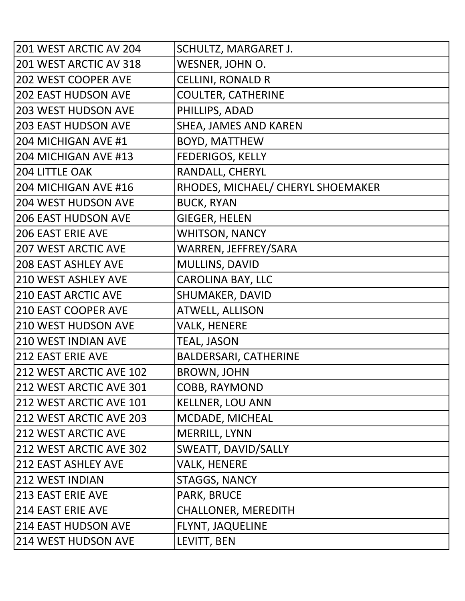| 201 WEST ARCTIC AV 204     | SCHULTZ, MARGARET J.              |
|----------------------------|-----------------------------------|
| 201 WEST ARCTIC AV 318     | WESNER, JOHN O.                   |
| <b>202 WEST COOPER AVE</b> | <b>CELLINI, RONALD R</b>          |
| <b>202 EAST HUDSON AVE</b> | <b>COULTER, CATHERINE</b>         |
| <b>203 WEST HUDSON AVE</b> | PHILLIPS, ADAD                    |
| <b>203 EAST HUDSON AVE</b> | <b>SHEA, JAMES AND KAREN</b>      |
| 204 MICHIGAN AVE #1        | <b>BOYD, MATTHEW</b>              |
| 204 MICHIGAN AVE #13       | <b>FEDERIGOS, KELLY</b>           |
| <b>204 LITTLE OAK</b>      | RANDALL, CHERYL                   |
| 204 MICHIGAN AVE #16       | RHODES, MICHAEL/ CHERYL SHOEMAKER |
| <b>204 WEST HUDSON AVE</b> | <b>BUCK, RYAN</b>                 |
| <b>206 EAST HUDSON AVE</b> | <b>GIEGER, HELEN</b>              |
| <b>206 EAST ERIE AVE</b>   | <b>WHITSON, NANCY</b>             |
| <b>207 WEST ARCTIC AVE</b> | WARREN, JEFFREY/SARA              |
| <b>208 EAST ASHLEY AVE</b> | MULLINS, DAVID                    |
| <b>210 WEST ASHLEY AVE</b> | <b>CAROLINA BAY, LLC</b>          |
| <b>210 EAST ARCTIC AVE</b> | SHUMAKER, DAVID                   |
| 210 EAST COOPER AVE        | <b>ATWELL, ALLISON</b>            |
| <b>210 WEST HUDSON AVE</b> | <b>VALK, HENERE</b>               |
| <b>210 WEST INDIAN AVE</b> | <b>TEAL, JASON</b>                |
| <b>212 EAST ERIE AVE</b>   | <b>BALDERSARI, CATHERINE</b>      |
| 212 WEST ARCTIC AVE 102    | <b>BROWN, JOHN</b>                |
| 212 WEST ARCTIC AVE 301    | COBB, RAYMOND                     |
| 212 WEST ARCTIC AVE 101    | <b>KELLNER, LOU ANN</b>           |
| 212 WEST ARCTIC AVE 203    | MCDADE, MICHEAL                   |
| <b>212 WEST ARCTIC AVE</b> | MERRILL, LYNN                     |
| 212 WEST ARCTIC AVE 302    | SWEATT, DAVID/SALLY               |
| <b>212 EAST ASHLEY AVE</b> | <b>VALK, HENERE</b>               |
| <b>212 WEST INDIAN</b>     | <b>STAGGS, NANCY</b>              |
| <b>213 EAST ERIE AVE</b>   | PARK, BRUCE                       |
| <b>214 EAST ERIE AVE</b>   | <b>CHALLONER, MEREDITH</b>        |
| <b>214 EAST HUDSON AVE</b> | <b>FLYNT, JAQUELINE</b>           |
| <b>214 WEST HUDSON AVE</b> | LEVITT, BEN                       |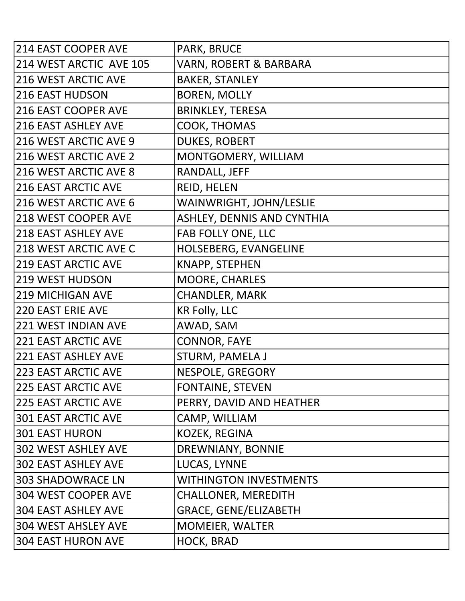| <b>214 EAST COOPER AVE</b>   | <b>PARK, BRUCE</b>                |
|------------------------------|-----------------------------------|
| 214 WEST ARCTIC AVE 105      | VARN, ROBERT & BARBARA            |
| <b>216 WEST ARCTIC AVE</b>   | <b>BAKER, STANLEY</b>             |
| <b>216 EAST HUDSON</b>       | <b>BOREN, MOLLY</b>               |
| 216 EAST COOPER AVE          | <b>BRINKLEY, TERESA</b>           |
| <b>216 EAST ASHLEY AVE</b>   | COOK, THOMAS                      |
| 216 WEST ARCTIC AVE 9        | <b>DUKES, ROBERT</b>              |
| 216 WEST ARCTIC AVE 2        | MONTGOMERY, WILLIAM               |
| 216 WEST ARCTIC AVE 8        | RANDALL, JEFF                     |
| <b>216 EAST ARCTIC AVE</b>   | REID, HELEN                       |
| 216 WEST ARCTIC AVE 6        | WAINWRIGHT, JOHN/LESLIE           |
| 218 WEST COOPER AVE          | <b>ASHLEY, DENNIS AND CYNTHIA</b> |
| <b>218 EAST ASHLEY AVE</b>   | FAB FOLLY ONE, LLC                |
| <b>218 WEST ARCTIC AVE C</b> | HOLSEBERG, EVANGELINE             |
| <b>219 EAST ARCTIC AVE</b>   | KNAPP, STEPHEN                    |
| <b>219 WEST HUDSON</b>       | MOORE, CHARLES                    |
| <b>219 MICHIGAN AVE</b>      | <b>CHANDLER, MARK</b>             |
| <b>220 EAST ERIE AVE</b>     | <b>KR Folly, LLC</b>              |
| <b>221 WEST INDIAN AVE</b>   | AWAD, SAM                         |
| <b>221 EAST ARCTIC AVE</b>   | <b>CONNOR, FAYE</b>               |
| <b>221 EAST ASHLEY AVE</b>   | STURM, PAMELA J                   |
| <b>223 EAST ARCTIC AVE</b>   | NESPOLE, GREGORY                  |
| <b>225 EAST ARCTIC AVE</b>   | <b>FONTAINE, STEVEN</b>           |
| <b>225 EAST ARCTIC AVE</b>   | PERRY, DAVID AND HEATHER          |
| <b>301 EAST ARCTIC AVE</b>   | CAMP, WILLIAM                     |
| <b>301 EAST HURON</b>        | <b>KOZEK, REGINA</b>              |
| <b>302 WEST ASHLEY AVE</b>   | DREWNIANY, BONNIE                 |
| <b>302 EAST ASHLEY AVE</b>   | LUCAS, LYNNE                      |
| <b>303 SHADOWRACE LN</b>     | <b>WITHINGTON INVESTMENTS</b>     |
| 304 WEST COOPER AVE          | <b>CHALLONER, MEREDITH</b>        |
| <b>304 EAST ASHLEY AVE</b>   | <b>GRACE, GENE/ELIZABETH</b>      |
| <b>304 WEST AHSLEY AVE</b>   | <b>MOMEIER, WALTER</b>            |
| <b>304 EAST HURON AVE</b>    | HOCK, BRAD                        |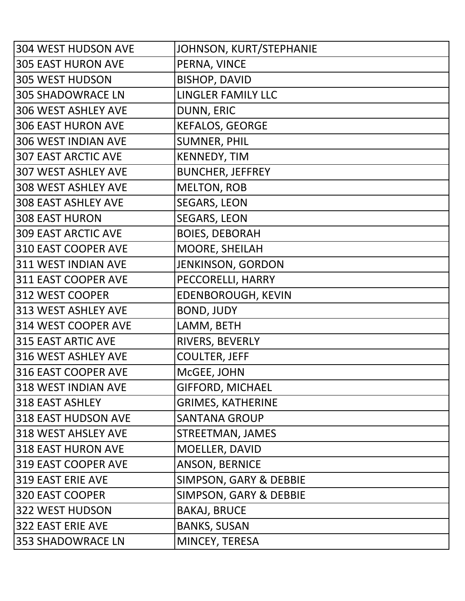| <b>304 WEST HUDSON AVE</b> | JOHNSON, KURT/STEPHANIE   |
|----------------------------|---------------------------|
| <b>305 EAST HURON AVE</b>  | PERNA, VINCE              |
| <b>305 WEST HUDSON</b>     | <b>BISHOP, DAVID</b>      |
| <b>305 SHADOWRACE LN</b>   | <b>LINGLER FAMILY LLC</b> |
| <b>306 WEST ASHLEY AVE</b> | DUNN, ERIC                |
| <b>306 EAST HURON AVE</b>  | <b>KEFALOS, GEORGE</b>    |
| 306 WEST INDIAN AVE        | <b>SUMNER, PHIL</b>       |
| <b>307 EAST ARCTIC AVE</b> | <b>KENNEDY, TIM</b>       |
| <b>307 WEST ASHLEY AVE</b> | <b>BUNCHER, JEFFREY</b>   |
| <b>308 WEST ASHLEY AVE</b> | <b>MELTON, ROB</b>        |
| <b>308 EAST ASHLEY AVE</b> | <b>SEGARS, LEON</b>       |
| <b>308 EAST HURON</b>      | <b>SEGARS, LEON</b>       |
| <b>309 EAST ARCTIC AVE</b> | <b>BOIES, DEBORAH</b>     |
| 310 EAST COOPER AVE        | MOORE, SHEILAH            |
| 311 WEST INDIAN AVE        | <b>JENKINSON, GORDON</b>  |
| 311 EAST COOPER AVE        | PECCORELLI, HARRY         |
| 312 WEST COOPER            | EDENBOROUGH, KEVIN        |
| 313 WEST ASHLEY AVE        | <b>BOND, JUDY</b>         |
| 314 WEST COOPER AVE        | LAMM, BETH                |
| <b>315 EAST ARTIC AVE</b>  | RIVERS, BEVERLY           |
| 316 WEST ASHLEY AVE        | <b>COULTER, JEFF</b>      |
| 316 EAST COOPER AVE        | McGEE, JOHN               |
| 318 WEST INDIAN AVE        | <b>GIFFORD, MICHAEL</b>   |
| 318 EAST ASHLEY            | <b>GRIMES, KATHERINE</b>  |
| 318 EAST HUDSON AVE        | <b>SANTANA GROUP</b>      |
| 318 WEST AHSLEY AVE        | <b>STREETMAN, JAMES</b>   |
| 318 EAST HURON AVE         | MOELLER, DAVID            |
| 319 EAST COOPER AVE        | ANSON, BERNICE            |
| <b>319 EAST ERIE AVE</b>   | SIMPSON, GARY & DEBBIE    |
| 320 EAST COOPER            | SIMPSON, GARY & DEBBIE    |
| 322 WEST HUDSON            | <b>BAKAJ, BRUCE</b>       |
| <b>322 EAST ERIE AVE</b>   | <b>BANKS, SUSAN</b>       |
| <b>353 SHADOWRACE LN</b>   | MINCEY, TERESA            |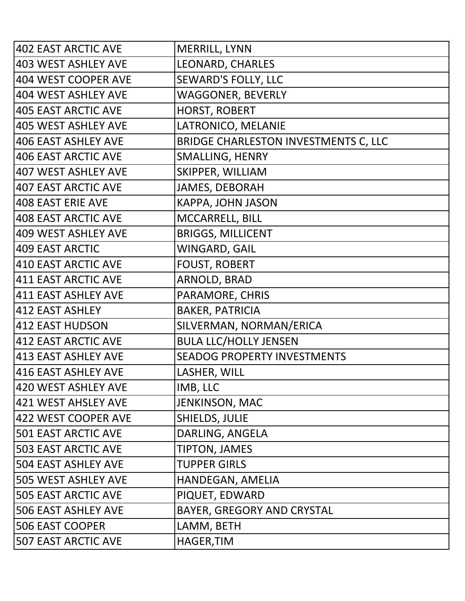| 402 EAST ARCTIC AVE        | MERRILL, LYNN                        |
|----------------------------|--------------------------------------|
| 403 WEST ASHLEY AVE        | LEONARD, CHARLES                     |
| 404 WEST COOPER AVE        | <b>SEWARD'S FOLLY, LLC</b>           |
| 404 WEST ASHLEY AVE        | <b>WAGGONER, BEVERLY</b>             |
| <b>405 EAST ARCTIC AVE</b> | <b>HORST, ROBERT</b>                 |
| 405 WEST ASHLEY AVE        | LATRONICO, MELANIE                   |
| 406 EAST ASHLEY AVE        | BRIDGE CHARLESTON INVESTMENTS C, LLC |
| 406 EAST ARCTIC AVE        | <b>SMALLING, HENRY</b>               |
| 407 WEST ASHLEY AVE        | SKIPPER, WILLIAM                     |
| <b>407 EAST ARCTIC AVE</b> | <b>JAMES, DEBORAH</b>                |
| 408 EAST ERIE AVE          | <b>KAPPA, JOHN JASON</b>             |
| <b>408 EAST ARCTIC AVE</b> | MCCARRELL, BILL                      |
| 409 WEST ASHLEY AVE        | <b>BRIGGS, MILLICENT</b>             |
| 409 EAST ARCTIC            | <b>WINGARD, GAIL</b>                 |
| 410 EAST ARCTIC AVE        | <b>FOUST, ROBERT</b>                 |
| 411 EAST ARCTIC AVE        | ARNOLD, BRAD                         |
| 411 EAST ASHLEY AVE        | PARAMORE, CHRIS                      |
| 412 EAST ASHLEY            | <b>BAKER, PATRICIA</b>               |
| 412 EAST HUDSON            | SILVERMAN, NORMAN/ERICA              |
| 412 EAST ARCTIC AVE        | <b>BULA LLC/HOLLY JENSEN</b>         |
| 413 EAST ASHLEY AVE        | <b>SEADOG PROPERTY INVESTMENTS</b>   |
| 416 EAST ASHLEY AVE        | LASHER, WILL                         |
| 420 WEST ASHLEY AVE        | IMB, LLC                             |
| 421 WEST AHSLEY AVE        | JENKINSON, MAC                       |
| 422 WEST COOPER AVE        | SHIELDS, JULIE                       |
| <b>501 EAST ARCTIC AVE</b> | DARLING, ANGELA                      |
| <b>503 EAST ARCTIC AVE</b> | <b>TIPTON, JAMES</b>                 |
| <b>504 EAST ASHLEY AVE</b> | <b>TUPPER GIRLS</b>                  |
| <b>505 WEST ASHLEY AVE</b> | HANDEGAN, AMELIA                     |
| <b>505 EAST ARCTIC AVE</b> | PIQUET, EDWARD                       |
| <b>506 EAST ASHLEY AVE</b> | BAYER, GREGORY AND CRYSTAL           |
| <b>506 EAST COOPER</b>     | LAMM, BETH                           |
| <b>507 EAST ARCTIC AVE</b> | <b>HAGER, TIM</b>                    |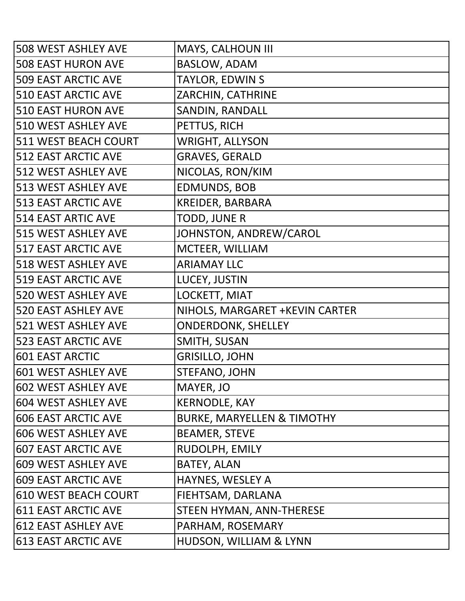| <b>508 WEST ASHLEY AVE</b> | MAYS, CALHOUN III                     |
|----------------------------|---------------------------------------|
| <b>508 EAST HURON AVE</b>  | <b>BASLOW, ADAM</b>                   |
| <b>509 EAST ARCTIC AVE</b> | TAYLOR, EDWIN S                       |
| <b>510 EAST ARCTIC AVE</b> | ZARCHIN, CATHRINE                     |
| <b>510 EAST HURON AVE</b>  | SANDIN, RANDALL                       |
| 510 WEST ASHLEY AVE        | PETTUS, RICH                          |
| 511 WEST BEACH COURT       | <b>WRIGHT, ALLYSON</b>                |
| <b>512 EAST ARCTIC AVE</b> | <b>GRAVES, GERALD</b>                 |
| 512 WEST ASHLEY AVE        | NICOLAS, RON/KIM                      |
| 513 WEST ASHLEY AVE        | <b>EDMUNDS, BOB</b>                   |
| <b>513 EAST ARCTIC AVE</b> | <b>KREIDER, BARBARA</b>               |
| <b>514 EAST ARTIC AVE</b>  | <b>TODD, JUNE R</b>                   |
| 515 WEST ASHLEY AVE        | JOHNSTON, ANDREW/CAROL                |
| <b>517 EAST ARCTIC AVE</b> | MCTEER, WILLIAM                       |
| <b>518 WEST ASHLEY AVE</b> | <b>ARIAMAY LLC</b>                    |
| <b>519 EAST ARCTIC AVE</b> | LUCEY, JUSTIN                         |
| <b>520 WEST ASHLEY AVE</b> | LOCKETT, MIAT                         |
| <b>520 EAST ASHLEY AVE</b> | NIHOLS, MARGARET + KEVIN CARTER       |
| 521 WEST ASHLEY AVE        | <b>ONDERDONK, SHELLEY</b>             |
| <b>523 EAST ARCTIC AVE</b> | SMITH, SUSAN                          |
| <b>601 EAST ARCTIC</b>     | <b>GRISILLO, JOHN</b>                 |
| 601 WEST ASHLEY AVE        | <b>STEFANO, JOHN</b>                  |
| <b>602 WEST ASHLEY AVE</b> | MAYER, JO                             |
| 604 WEST ASHLEY AVE        | <b>KERNODLE, KAY</b>                  |
| <b>606 EAST ARCTIC AVE</b> | <b>BURKE, MARYELLEN &amp; TIMOTHY</b> |
| 606 WEST ASHLEY AVE        | <b>BEAMER, STEVE</b>                  |
| <b>607 EAST ARCTIC AVE</b> | RUDOLPH, EMILY                        |
| 609 WEST ASHLEY AVE        | <b>BATEY, ALAN</b>                    |
| <b>609 EAST ARCTIC AVE</b> | HAYNES, WESLEY A                      |
| 610 WEST BEACH COURT       | FIEHTSAM, DARLANA                     |
| 611 EAST ARCTIC AVE        | STEEN HYMAN, ANN-THERESE              |
| 612 EAST ASHLEY AVE        | PARHAM, ROSEMARY                      |
| 613 EAST ARCTIC AVE        | HUDSON, WILLIAM & LYNN                |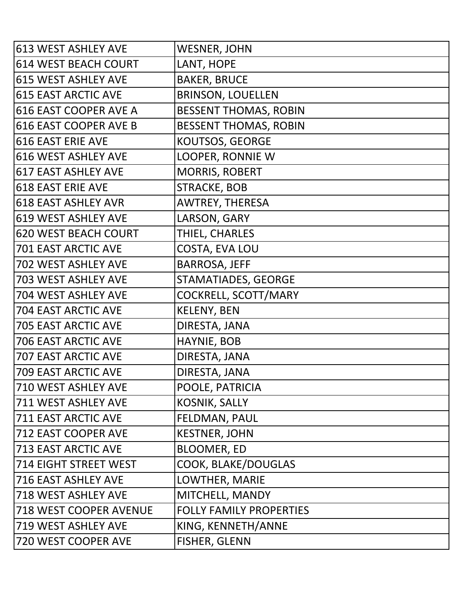| 613 WEST ASHLEY AVE          | <b>WESNER, JOHN</b>            |
|------------------------------|--------------------------------|
| 614 WEST BEACH COURT         | LANT, HOPE                     |
| 615 WEST ASHLEY AVE          | <b>BAKER, BRUCE</b>            |
| <b>615 EAST ARCTIC AVE</b>   | <b>BRINSON, LOUELLEN</b>       |
| 616 EAST COOPER AVE A        | <b>BESSENT THOMAS, ROBIN</b>   |
| 616 EAST COOPER AVE B        | <b>BESSENT THOMAS, ROBIN</b>   |
| 616 EAST ERIE AVE            | <b>KOUTSOS, GEORGE</b>         |
| 616 WEST ASHLEY AVE          | <b>LOOPER, RONNIE W</b>        |
| 617 EAST ASHLEY AVE          | <b>MORRIS, ROBERT</b>          |
| <b>618 EAST ERIE AVE</b>     | <b>STRACKE, BOB</b>            |
| 618 EAST ASHLEY AVR          | <b>AWTREY, THERESA</b>         |
| 619 WEST ASHLEY AVE          | LARSON, GARY                   |
| 620 WEST BEACH COURT         | THIEL, CHARLES                 |
| <b>701 EAST ARCTIC AVE</b>   | COSTA, EVA LOU                 |
| 702 WEST ASHLEY AVE          | <b>BARROSA, JEFF</b>           |
| 703 WEST ASHLEY AVE          | STAMATIADES, GEORGE            |
| 704 WEST ASHLEY AVE          | COCKRELL, SCOTT/MARY           |
| <b>704 EAST ARCTIC AVE</b>   | <b>KELENY, BEN</b>             |
| <b>705 EAST ARCTIC AVE</b>   | DIRESTA, JANA                  |
| <b>706 EAST ARCTIC AVE</b>   | HAYNIE, BOB                    |
| <b>707 EAST ARCTIC AVE</b>   | DIRESTA, JANA                  |
| <b>709 EAST ARCTIC AVE</b>   | DIRESTA, JANA                  |
| <b>710 WEST ASHLEY AVE</b>   | POOLE, PATRICIA                |
| 711 WEST ASHLEY AVE          | <b>KOSNIK, SALLY</b>           |
| <b>711 EAST ARCTIC AVE</b>   | FELDMAN, PAUL                  |
| <b>712 EAST COOPER AVE</b>   | <b>KESTNER, JOHN</b>           |
| <b>713 EAST ARCTIC AVE</b>   | <b>BLOOMER, ED</b>             |
| <b>714 EIGHT STREET WEST</b> | COOK, BLAKE/DOUGLAS            |
| <b>716 EAST ASHLEY AVE</b>   | LOWTHER, MARIE                 |
| 718 WEST ASHLEY AVE          | MITCHELL, MANDY                |
| 718 WEST COOPER AVENUE       | <b>FOLLY FAMILY PROPERTIES</b> |
| 719 WEST ASHLEY AVE          | KING, KENNETH/ANNE             |
| 720 WEST COOPER AVE          | <b>FISHER, GLENN</b>           |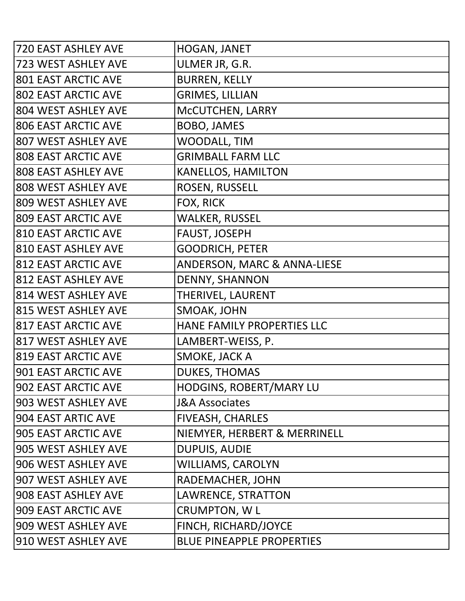| <b>720 EAST ASHLEY AVE</b> | HOGAN, JANET                           |
|----------------------------|----------------------------------------|
| 723 WEST ASHLEY AVE        | ULMER JR, G.R.                         |
| <b>801 EAST ARCTIC AVE</b> | <b>BURREN, KELLY</b>                   |
| <b>802 EAST ARCTIC AVE</b> | <b>GRIMES, LILLIAN</b>                 |
| 804 WEST ASHLEY AVE        | MCCUTCHEN, LARRY                       |
| <b>806 EAST ARCTIC AVE</b> | <b>BOBO, JAMES</b>                     |
| 807 WEST ASHLEY AVE        | <b>WOODALL, TIM</b>                    |
| <b>808 EAST ARCTIC AVE</b> | <b>GRIMBALL FARM LLC</b>               |
| <b>808 EAST ASHLEY AVE</b> | <b>KANELLOS, HAMILTON</b>              |
| 808 WEST ASHLEY AVE        | ROSEN, RUSSELL                         |
| 809 WEST ASHLEY AVE        | FOX, RICK                              |
| <b>809 EAST ARCTIC AVE</b> | <b>WALKER, RUSSEL</b>                  |
| <b>810 EAST ARCTIC AVE</b> | <b>FAUST, JOSEPH</b>                   |
| <b>810 EAST ASHLEY AVE</b> | <b>GOODRICH, PETER</b>                 |
| <b>812 EAST ARCTIC AVE</b> | <b>ANDERSON, MARC &amp; ANNA-LIESE</b> |
| <b>812 EAST ASHLEY AVE</b> | DENNY, SHANNON                         |
| 814 WEST ASHLEY AVE        | THERIVEL, LAURENT                      |
| 815 WEST ASHLEY AVE        | SMOAK, JOHN                            |
| <b>817 EAST ARCTIC AVE</b> | HANE FAMILY PROPERTIES LLC             |
| 817 WEST ASHLEY AVE        | LAMBERT-WEISS, P.                      |
| <b>819 EAST ARCTIC AVE</b> | SMOKE, JACK A                          |
| 901 EAST ARCTIC AVE        | <b>DUKES, THOMAS</b>                   |
| 902 EAST ARCTIC AVE        | HODGINS, ROBERT/MARY LU                |
| 903 WEST ASHLEY AVE        | <b>J&amp;A Associates</b>              |
| 904 EAST ARTIC AVE         | <b>FIVEASH, CHARLES</b>                |
| 905 EAST ARCTIC AVE        | NIEMYER, HERBERT & MERRINELL           |
| 905 WEST ASHLEY AVE        | <b>DUPUIS, AUDIE</b>                   |
| 906 WEST ASHLEY AVE        | <b>WILLIAMS, CAROLYN</b>               |
| 907 WEST ASHLEY AVE        | RADEMACHER, JOHN                       |
| 908 EAST ASHLEY AVE        | LAWRENCE, STRATTON                     |
| 909 EAST ARCTIC AVE        | <b>CRUMPTON, WL</b>                    |
| 909 WEST ASHLEY AVE        | FINCH, RICHARD/JOYCE                   |
| 910 WEST ASHLEY AVE        | <b>BLUE PINEAPPLE PROPERTIES</b>       |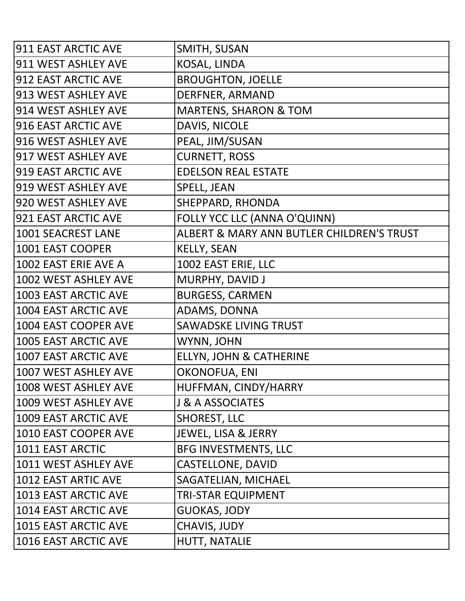| 911 EAST ARCTIC AVE       | SMITH, SUSAN                              |
|---------------------------|-------------------------------------------|
| 911 WEST ASHLEY AVE       | KOSAL, LINDA                              |
| 912 EAST ARCTIC AVE       | <b>BROUGHTON, JOELLE</b>                  |
| 913 WEST ASHLEY AVE       | DERFNER, ARMAND                           |
| 914 WEST ASHLEY AVE       | <b>MARTENS, SHARON &amp; TOM</b>          |
| 916 EAST ARCTIC AVE       | DAVIS, NICOLE                             |
| 916 WEST ASHLEY AVE       | PEAL, JIM/SUSAN                           |
| 917 WEST ASHLEY AVE       | <b>CURNETT, ROSS</b>                      |
| 919 EAST ARCTIC AVE       | <b>EDELSON REAL ESTATE</b>                |
| 919 WEST ASHLEY AVE       | <b>SPELL, JEAN</b>                        |
| 920 WEST ASHLEY AVE       | SHEPPARD, RHONDA                          |
| 921 EAST ARCTIC AVE       | FOLLY YCC LLC (ANNA O'QUINN)              |
| <b>1001 SEACREST LANE</b> | ALBERT & MARY ANN BUTLER CHILDREN'S TRUST |
| <b>1001 EAST COOPER</b>   | <b>KELLY, SEAN</b>                        |
| 1002 EAST ERIE AVE A      | 1002 EAST ERIE, LLC                       |
| 1002 WEST ASHLEY AVE      | MURPHY, DAVID J                           |
| 1003 EAST ARCTIC AVE      | <b>BURGESS, CARMEN</b>                    |
| 1004 EAST ARCTIC AVE      | ADAMS, DONNA                              |
| 1004 EAST COOPER AVE      | <b>SAWADSKE LIVING TRUST</b>              |
| 1005 EAST ARCTIC AVE      | WYNN, JOHN                                |
| 1007 EAST ARCTIC AVE      | ELLYN, JOHN & CATHERINE                   |
| 1007 WEST ASHLEY AVE      | <b>OKONOFUA, ENI</b>                      |
| 1008 WEST ASHLEY AVE      | HUFFMAN, CINDY/HARRY                      |
| 1009 WEST ASHLEY AVE      | <b>J &amp; A ASSOCIATES</b>               |
| 1009 EAST ARCTIC AVE      | <b>SHOREST, LLC</b>                       |
| 1010 EAST COOPER AVE      | <b>JEWEL, LISA &amp; JERRY</b>            |
| 1011 EAST ARCTIC          | <b>BFG INVESTMENTS, LLC</b>               |
| 1011 WEST ASHLEY AVE      | <b>CASTELLONE, DAVID</b>                  |
| 1012 EAST ARTIC AVE       | SAGATELIAN, MICHAEL                       |
| 1013 EAST ARCTIC AVE      | TRI-STAR EQUIPMENT                        |
| 1014 EAST ARCTIC AVE      | <b>GUOKAS, JODY</b>                       |
| 1015 EAST ARCTIC AVE      | <b>CHAVIS, JUDY</b>                       |
| 1016 EAST ARCTIC AVE      | HUTT, NATALIE                             |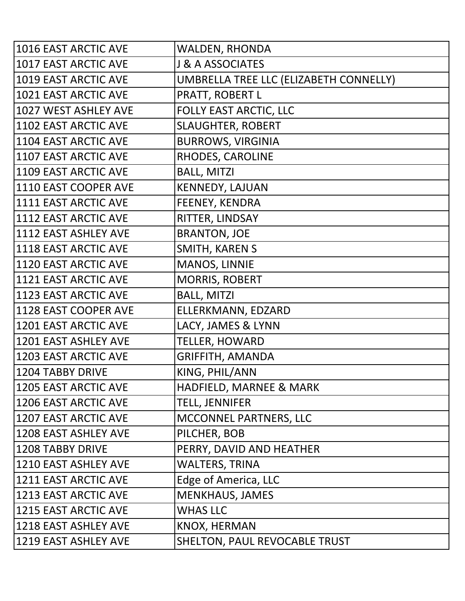| 1016 EAST ARCTIC AVE        | <b>WALDEN, RHONDA</b>                  |
|-----------------------------|----------------------------------------|
| 1017 EAST ARCTIC AVE        | <b>J &amp; A ASSOCIATES</b>            |
| 1019 EAST ARCTIC AVE        | UMBRELLA TREE LLC (ELIZABETH CONNELLY) |
| 1021 EAST ARCTIC AVE        | PRATT, ROBERT L                        |
| 1027 WEST ASHLEY AVE        | FOLLY EAST ARCTIC, LLC                 |
| 1102 EAST ARCTIC AVE        | <b>SLAUGHTER, ROBERT</b>               |
| 1104 EAST ARCTIC AVE        | <b>BURROWS, VIRGINIA</b>               |
| 1107 EAST ARCTIC AVE        | RHODES, CAROLINE                       |
| 1109 EAST ARCTIC AVE        | <b>BALL, MITZI</b>                     |
| 1110 EAST COOPER AVE        | <b>KENNEDY, LAJUAN</b>                 |
| 1111 EAST ARCTIC AVE        | <b>FEENEY, KENDRA</b>                  |
| 1112 EAST ARCTIC AVE        | RITTER, LINDSAY                        |
| 1112 EAST ASHLEY AVE        | <b>BRANTON, JOE</b>                    |
| 1118 EAST ARCTIC AVE        | SMITH, KAREN S                         |
| 1120 EAST ARCTIC AVE        | <b>MANOS, LINNIE</b>                   |
| 1121 EAST ARCTIC AVE        | <b>MORRIS, ROBERT</b>                  |
| 1123 EAST ARCTIC AVE        | <b>BALL, MITZI</b>                     |
| 1128 EAST COOPER AVE        | ELLERKMANN, EDZARD                     |
| 1201 EAST ARCTIC AVE        | LACY, JAMES & LYNN                     |
| 1201 EAST ASHLEY AVE        | <b>TELLER, HOWARD</b>                  |
| 1203 EAST ARCTIC AVE        | <b>GRIFFITH, AMANDA</b>                |
| <b>1204 TABBY DRIVE</b>     | KING, PHIL/ANN                         |
| <b>1205 EAST ARCTIC AVE</b> | HADFIELD, MARNEE & MARK                |
| 1206 EAST ARCTIC AVE        | <b>TELL, JENNIFER</b>                  |
| 1207 EAST ARCTIC AVE        | MCCONNEL PARTNERS, LLC                 |
| 1208 EAST ASHLEY AVE        | PILCHER, BOB                           |
| 1208 TABBY DRIVE            | PERRY, DAVID AND HEATHER               |
| 1210 EAST ASHLEY AVE        | <b>WALTERS, TRINA</b>                  |
| 1211 EAST ARCTIC AVE        | Edge of America, LLC                   |
| 1213 EAST ARCTIC AVE        | <b>MENKHAUS, JAMES</b>                 |
| 1215 EAST ARCTIC AVE        | <b>WHAS LLC</b>                        |
| 1218 EAST ASHLEY AVE        | KNOX, HERMAN                           |
| 1219 EAST ASHLEY AVE        | SHELTON, PAUL REVOCABLE TRUST          |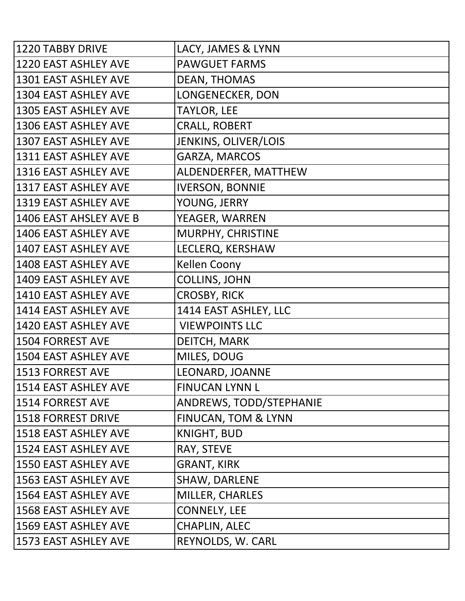| <b>1220 TABBY DRIVE</b>     | LACY, JAMES & LYNN             |
|-----------------------------|--------------------------------|
| 1220 EAST ASHLEY AVE        | <b>PAWGUET FARMS</b>           |
| 1301 EAST ASHLEY AVE        | <b>DEAN, THOMAS</b>            |
| 1304 EAST ASHLEY AVE        | LONGENECKER, DON               |
| <b>1305 EAST ASHLEY AVE</b> | <b>TAYLOR, LEE</b>             |
| 1306 EAST ASHLEY AVE        | <b>CRALL, ROBERT</b>           |
| 1307 EAST ASHLEY AVE        | JENKINS, OLIVER/LOIS           |
| 1311 EAST ASHLEY AVE        | GARZA, MARCOS                  |
| 1316 EAST ASHLEY AVE        | ALDENDERFER, MATTHEW           |
| 1317 EAST ASHLEY AVE        | <b>IVERSON, BONNIE</b>         |
| 1319 EAST ASHLEY AVE        | YOUNG, JERRY                   |
| 1406 EAST AHSLEY AVE B      | YEAGER, WARREN                 |
| 1406 EAST ASHLEY AVE        | MURPHY, CHRISTINE              |
| <b>1407 EAST ASHLEY AVE</b> | LECLERQ, KERSHAW               |
| 1408 EAST ASHLEY AVE        | Kellen Coony                   |
| 1409 EAST ASHLEY AVE        | <b>COLLINS, JOHN</b>           |
| 1410 EAST ASHLEY AVE        | <b>CROSBY, RICK</b>            |
| 1414 EAST ASHLEY AVE        | 1414 EAST ASHLEY, LLC          |
| <b>1420 EAST ASHLEY AVE</b> | <b>VIEWPOINTS LLC</b>          |
| <b>1504 FORREST AVE</b>     | DEITCH, MARK                   |
| 1504 EAST ASHLEY AVE        | MILES, DOUG                    |
| <b>1513 FORREST AVE</b>     | LEONARD, JOANNE                |
| 1514 EAST ASHLEY AVE        | <b>FINUCAN LYNN L</b>          |
| 1514 FORREST AVE            | ANDREWS, TODD/STEPHANIE        |
| <b>1518 FORREST DRIVE</b>   | <b>FINUCAN, TOM &amp; LYNN</b> |
| 1518 EAST ASHLEY AVE        | <b>KNIGHT, BUD</b>             |
| 1524 EAST ASHLEY AVE        | RAY, STEVE                     |
| <b>1550 EAST ASHLEY AVE</b> | <b>GRANT, KIRK</b>             |
| <b>1563 EAST ASHLEY AVE</b> | <b>SHAW, DARLENE</b>           |
| 1564 EAST ASHLEY AVE        | MILLER, CHARLES                |
| 1568 EAST ASHLEY AVE        | <b>CONNELY, LEE</b>            |
| <b>1569 EAST ASHLEY AVE</b> | <b>CHAPLIN, ALEC</b>           |
| 1573 EAST ASHLEY AVE        | REYNOLDS, W. CARL              |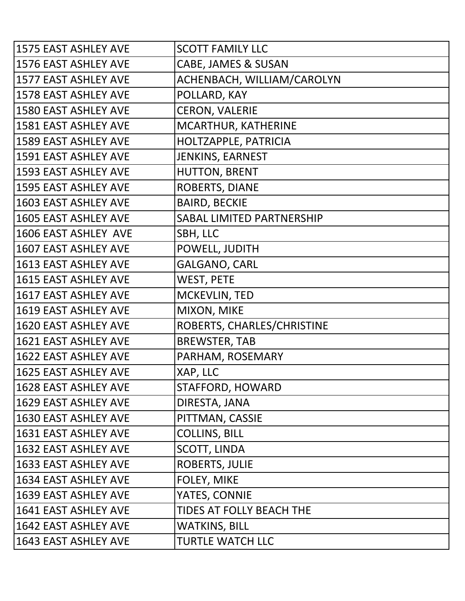| 1575 EAST ASHLEY AVE        | <b>SCOTT FAMILY LLC</b>        |
|-----------------------------|--------------------------------|
| 1576 EAST ASHLEY AVE        | <b>CABE, JAMES &amp; SUSAN</b> |
| 1577 EAST ASHLEY AVE        | ACHENBACH, WILLIAM/CAROLYN     |
| 1578 EAST ASHLEY AVE        | POLLARD, KAY                   |
| <b>1580 EAST ASHLEY AVE</b> | <b>CERON, VALERIE</b>          |
| 1581 EAST ASHLEY AVE        | MCARTHUR, KATHERINE            |
| <b>1589 EAST ASHLEY AVE</b> | HOLTZAPPLE, PATRICIA           |
| 1591 EAST ASHLEY AVE        | JENKINS, EARNEST               |
| 1593 EAST ASHLEY AVE        | <b>HUTTON, BRENT</b>           |
| 1595 EAST ASHLEY AVE        | ROBERTS, DIANE                 |
| 1603 EAST ASHLEY AVE        | <b>BAIRD, BECKIE</b>           |
| <b>1605 EAST ASHLEY AVE</b> | SABAL LIMITED PARTNERSHIP      |
| 1606 EAST ASHLEY AVE        | SBH, LLC                       |
| 1607 EAST ASHLEY AVE        | POWELL, JUDITH                 |
| 1613 EAST ASHLEY AVE        | <b>GALGANO, CARL</b>           |
| 1615 EAST ASHLEY AVE        | <b>WEST, PETE</b>              |
| 1617 EAST ASHLEY AVE        | MCKEVLIN, TED                  |
| 1619 EAST ASHLEY AVE        | MIXON, MIKE                    |
| 1620 EAST ASHLEY AVE        | ROBERTS, CHARLES/CHRISTINE     |
| 1621 EAST ASHLEY AVE        | <b>BREWSTER, TAB</b>           |
| 1622 EAST ASHLEY AVE        | PARHAM, ROSEMARY               |
| 1625 EAST ASHLEY AVE        | XAP, LLC                       |
| 1628 EAST ASHLEY AVE        | STAFFORD, HOWARD               |
| 1629 EAST ASHLEY AVE        | DIRESTA, JANA                  |
| 1630 EAST ASHLEY AVE        | PITTMAN, CASSIE                |
| 1631 EAST ASHLEY AVE        | <b>COLLINS, BILL</b>           |
| 1632 EAST ASHLEY AVE        | <b>SCOTT, LINDA</b>            |
| 1633 EAST ASHLEY AVE        | <b>ROBERTS, JULIE</b>          |
| 1634 EAST ASHLEY AVE        | FOLEY, MIKE                    |
| 1639 EAST ASHLEY AVE        | YATES, CONNIE                  |
| 1641 EAST ASHLEY AVE        | TIDES AT FOLLY BEACH THE       |
| 1642 EAST ASHLEY AVE        | <b>WATKINS, BILL</b>           |
| 1643 EAST ASHLEY AVE        | <b>TURTLE WATCH LLC</b>        |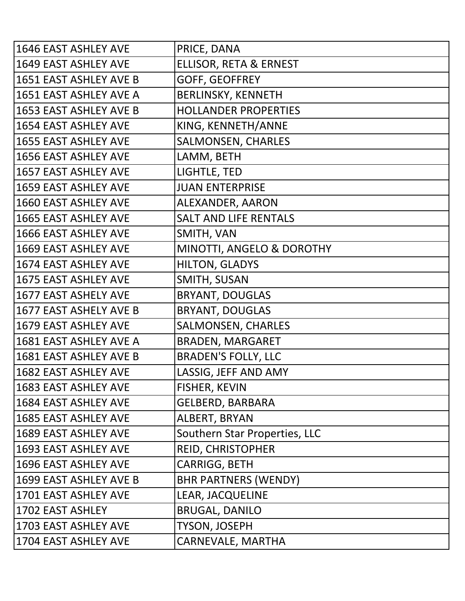| 1646 EAST ASHLEY AVE        | PRICE, DANA                       |
|-----------------------------|-----------------------------------|
| 1649 EAST ASHLEY AVE        | <b>ELLISOR, RETA &amp; ERNEST</b> |
| 1651 EAST ASHLEY AVE B      | <b>GOFF, GEOFFREY</b>             |
| 1651 EAST ASHLEY AVE A      | <b>BERLINSKY, KENNETH</b>         |
| 1653 EAST ASHLEY AVE B      | <b>HOLLANDER PROPERTIES</b>       |
| 1654 EAST ASHLEY AVE        | KING, KENNETH/ANNE                |
| 1655 EAST ASHLEY AVE        | <b>SALMONSEN, CHARLES</b>         |
| 1656 EAST ASHLEY AVE        | LAMM, BETH                        |
| 1657 EAST ASHLEY AVE        | LIGHTLE, TED                      |
| 1659 EAST ASHLEY AVE        | <b>JUAN ENTERPRISE</b>            |
| 1660 EAST ASHLEY AVE        | ALEXANDER, AARON                  |
| <b>1665 EAST ASHLEY AVE</b> | <b>SALT AND LIFE RENTALS</b>      |
| 1666 EAST ASHLEY AVE        | SMITH, VAN                        |
| 1669 EAST ASHLEY AVE        | MINOTTI, ANGELO & DOROTHY         |
| 1674 EAST ASHLEY AVE        | <b>HILTON, GLADYS</b>             |
| 1675 EAST ASHLEY AVE        | SMITH, SUSAN                      |
| 1677 EAST ASHELY AVE        | <b>BRYANT, DOUGLAS</b>            |
| 1677 EAST ASHELY AVE B      | <b>BRYANT, DOUGLAS</b>            |
| 1679 EAST ASHLEY AVE        | <b>SALMONSEN, CHARLES</b>         |
| 1681 EAST ASHLEY AVE A      | <b>BRADEN, MARGARET</b>           |
| 1681 EAST ASHLEY AVE B      | <b>BRADEN'S FOLLY, LLC</b>        |
| 1682 EAST ASHLEY AVE        | LASSIG, JEFF AND AMY              |
| 1683 EAST ASHLEY AVE        | <b>FISHER, KEVIN</b>              |
| 1684 EAST ASHLEY AVE        | <b>GELBERD, BARBARA</b>           |
| 1685 EAST ASHLEY AVE        | ALBERT, BRYAN                     |
| 1689 EAST ASHLEY AVE        | Southern Star Properties, LLC     |
| 1693 EAST ASHLEY AVE        | REID, CHRISTOPHER                 |
| 1696 EAST ASHLEY AVE        | CARRIGG, BETH                     |
| 1699 EAST ASHLEY AVE B      | <b>BHR PARTNERS (WENDY)</b>       |
| 1701 EAST ASHLEY AVE        | <b>LEAR, JACQUELINE</b>           |
| 1702 EAST ASHLEY            | <b>BRUGAL, DANILO</b>             |
| 1703 EAST ASHLEY AVE        | <b>TYSON, JOSEPH</b>              |
| 1704 EAST ASHLEY AVE        | CARNEVALE, MARTHA                 |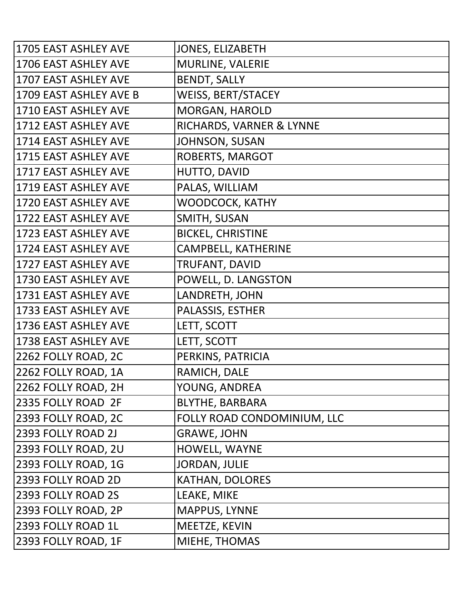| 1705 EAST ASHLEY AVE   | <b>JONES, ELIZABETH</b>     |
|------------------------|-----------------------------|
| 1706 EAST ASHLEY AVE   | <b>MURLINE, VALERIE</b>     |
| 1707 EAST ASHLEY AVE   | <b>BENDT, SALLY</b>         |
| 1709 EAST ASHLEY AVE B | <b>WEISS, BERT/STACEY</b>   |
| 1710 EAST ASHLEY AVE   | <b>MORGAN, HAROLD</b>       |
| 1712 EAST ASHLEY AVE   | RICHARDS, VARNER & LYNNE    |
| 1714 EAST ASHLEY AVE   | <b>JOHNSON, SUSAN</b>       |
| 1715 EAST ASHLEY AVE   | ROBERTS, MARGOT             |
| 1717 EAST ASHLEY AVE   | HUTTO, DAVID                |
| 1719 EAST ASHLEY AVE   | PALAS, WILLIAM              |
| 1720 EAST ASHLEY AVE   | WOODCOCK, KATHY             |
| 1722 EAST ASHLEY AVE   | SMITH, SUSAN                |
| 1723 EAST ASHLEY AVE   | <b>BICKEL, CHRISTINE</b>    |
| 1724 EAST ASHLEY AVE   | <b>CAMPBELL, KATHERINE</b>  |
| 1727 EAST ASHLEY AVE   | TRUFANT, DAVID              |
| 1730 EAST ASHLEY AVE   | POWELL, D. LANGSTON         |
| 1731 EAST ASHLEY AVE   | LANDRETH, JOHN              |
| 1733 EAST ASHLEY AVE   | PALASSIS, ESTHER            |
| 1736 EAST ASHLEY AVE   | LETT, SCOTT                 |
| 1738 EAST ASHLEY AVE   | LETT, SCOTT                 |
| 2262 FOLLY ROAD, 2C    | PERKINS, PATRICIA           |
| 2262 FOLLY ROAD, 1A    | RAMICH, DALE                |
| 2262 FOLLY ROAD, 2H    | YOUNG, ANDREA               |
| 2335 FOLLY ROAD 2F     | <b>BLYTHE, BARBARA</b>      |
| 2393 FOLLY ROAD, 2C    | FOLLY ROAD CONDOMINIUM, LLC |
| 2393 FOLLY ROAD 2J     | <b>GRAWE, JOHN</b>          |
| 2393 FOLLY ROAD, 2U    | HOWELL, WAYNE               |
| 2393 FOLLY ROAD, 1G    | <b>JORDAN, JULIE</b>        |
| 2393 FOLLY ROAD 2D     | <b>KATHAN, DOLORES</b>      |
| 2393 FOLLY ROAD 2S     | LEAKE, MIKE                 |
| 2393 FOLLY ROAD, 2P    | MAPPUS, LYNNE               |
| 2393 FOLLY ROAD 1L     | MEETZE, KEVIN               |
| 2393 FOLLY ROAD, 1F    | MIEHE, THOMAS               |